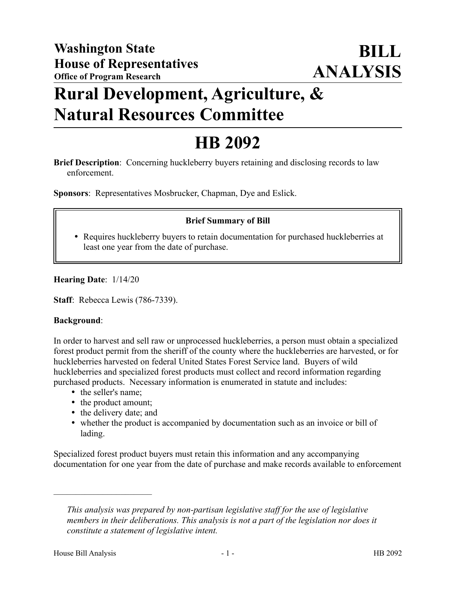## **Rural Development, Agriculture, & Natural Resources Committee**

# **HB 2092**

**Brief Description**: Concerning huckleberry buyers retaining and disclosing records to law enforcement.

**Sponsors**: Representatives Mosbrucker, Chapman, Dye and Eslick.

### **Brief Summary of Bill**

 Requires huckleberry buyers to retain documentation for purchased huckleberries at least one year from the date of purchase.

**Hearing Date**: 1/14/20

**Staff**: Rebecca Lewis (786-7339).

#### **Background**:

In order to harvest and sell raw or unprocessed huckleberries, a person must obtain a specialized forest product permit from the sheriff of the county where the huckleberries are harvested, or for huckleberries harvested on federal United States Forest Service land. Buyers of wild huckleberries and specialized forest products must collect and record information regarding purchased products. Necessary information is enumerated in statute and includes:

• the seller's name;

––––––––––––––––––––––

- the product amount;
- the delivery date; and
- whether the product is accompanied by documentation such as an invoice or bill of lading.

Specialized forest product buyers must retain this information and any accompanying documentation for one year from the date of purchase and make records available to enforcement

*This analysis was prepared by non-partisan legislative staff for the use of legislative members in their deliberations. This analysis is not a part of the legislation nor does it constitute a statement of legislative intent.*